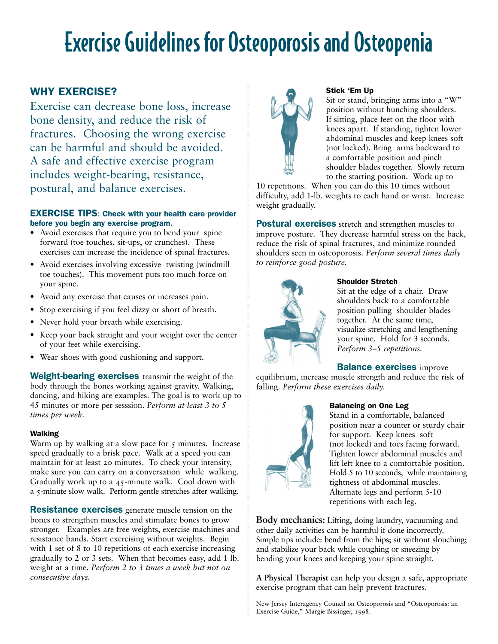## Exercise Guidelines for Osteoporosis and Osteopenia

## WHY EXERCISE?

Exercise can decrease bone loss, increase bone density, and reduce the risk of fractures. Choosing the wrong exercise can be harmful and should be avoided. A safe and effective exercise program includes weight-bearing, resistance, postural, and balance exercises.

#### EXERCISE TIPS: Check with your health care provider before you begin any exercise program.

- Avoid exercises that require you to bend your spine forward (toe touches, sit-ups, or crunches). These exercises can increase the incidence of spinal fractures.
- Avoid exercises involving excessive twisting (windmill toe touches). This movement puts too much force on your spine.
- Avoid any exercise that causes or increases pain.
- Stop exercising if you feel dizzy or short of breath.
- Never hold your breath while exercising.
- Keep your back straight and your weight over the center of your feet while exercising.
- Wear shoes with good cushioning and support.

Weight-bearing exercises transmit the weight of the body through the bones working against gravity. Walking, dancing, and hiking are examples. The goal is to work up to 45 minutes or more per sesssion. *Perform at least 3 to 5 times per week.*

#### Walking

Warm up by walking at a slow pace for  $\zeta$  minutes. Increase speed gradually to a brisk pace. Walk at a speed you can maintain for at least 20 minutes. To check your intensity, make sure you can carry on a conversation while walking. Gradually work up to a 45-minute walk. Cool down with a 5-minute slow walk. Perform gentle stretches after walking.

**Resistance exercises** generate muscle tension on the bones to strengthen muscles and stimulate bones to grow stronger. Examples are free weights, exercise machines and resistance bands. Start exercising without weights. Begin with 1 set of 8 to 10 repetitions of each exercise increasing gradually to 2 or 3 sets. When that becomes easy, add 1 lb. weight at a time. *Perform 2 to 3 times a week but not on consecutive days.*



#### Stick 'Em Up

Sit or stand, bringing arms into a "W" position without hunching shoulders. If sitting, place feet on the floor with knees apart. If standing, tighten lower abdominal muscles and keep knees soft (not locked). Bring arms backward to a comfortable position and pinch shoulder blades together. Slowly return to the starting position. Work up to

10 repetitions. When you can do this 10 times without difficulty, add 1-lb. weights to each hand or wrist. Increase weight gradually.

Postural exercises stretch and strengthen muscles to improve posture. They decrease harmful stress on the back, reduce the risk of spinal fractures, and minimize rounded shoulders seen in osteoporosis. *Perform several times daily to reinforce good posture.*



## Shoulder Stretch

Sit at the edge of a chair. Draw shoulders back to a comfortable position pulling shoulder blades together. At the same time, visualize stretching and lengthening your spine. Hold for 3 seconds. *Perform 3–5 repetitions.*

#### **Balance exercises improve**

equilibrium, increase muscle strength and reduce the risk of falling. *Perform these exercises daily.*



#### Balancing on One Leg

Stand in a comfortable, balanced position near a counter or sturdy chair for support. Keep knees soft (not locked) and toes facing forward. Tighten lower abdominal muscles and lift left knee to a comfortable position. Hold 5 to 10 seconds, while maintaining tightness of abdominal muscles. Alternate legs and perform 5-10 repetitions with each leg.

**Body mechanics:** Lifting, doing laundry, vacuuming and other daily activities can be harmful if done incorrectly. Simple tips include: bend from the hips; sit without slouching; and stabilize your back while coughing or sneezing by bending your knees and keeping your spine straight.

**A Physical Therapist** can help you design a safe, appropriate exercise program that can help prevent fractures.

New Jersey Interagency Council on Osteoporosis and "Osteoporosis: an Exercise Guide," Margie Bissinger, 1998.